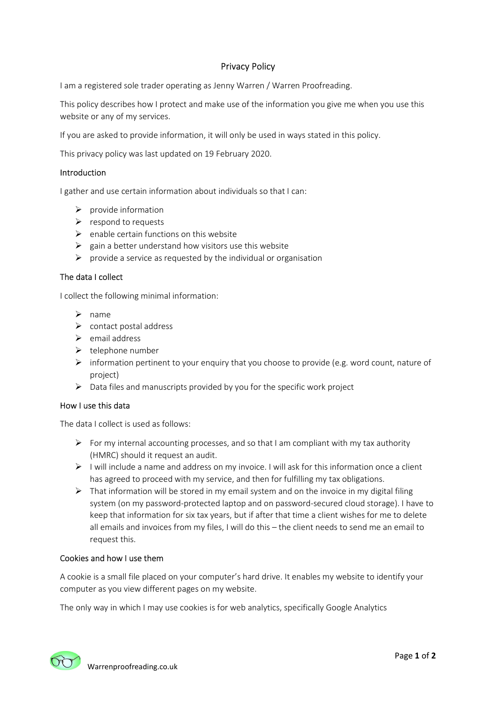# Privacy Policy

I am a registered sole trader operating as Jenny Warren / Warren Proofreading.

This policy describes how I protect and make use of the information you give me when you use this website or any of my services.

If you are asked to provide information, it will only be used in ways stated in this policy.

This privacy policy was last updated on 19 February 2020.

## Introduction

I gather and use certain information about individuals so that I can:

- $\triangleright$  provide information
- $\triangleright$  respond to requests
- $\triangleright$  enable certain functions on this website
- $\triangleright$  gain a better understand how visitors use this website
- $\triangleright$  provide a service as requested by the individual or organisation

# The data I collect

I collect the following minimal information:

- $\triangleright$  name
- $\triangleright$  contact postal address
- $\triangleright$  email address
- $\triangleright$  telephone number
- $\triangleright$  information pertinent to your enquiry that you choose to provide (e.g. word count, nature of project)
- $\triangleright$  Data files and manuscripts provided by you for the specific work project

#### How I use this data

The data I collect is used as follows:

- For my internal accounting processes, and so that I am compliant with my tax authority (HMRC) should it request an audit.
- $\triangleright$  I will include a name and address on my invoice. I will ask for this information once a client has agreed to proceed with my service, and then for fulfilling my tax obligations.
- $\triangleright$  That information will be stored in my email system and on the invoice in my digital filing system (on my password-protected laptop and on password-secured cloud storage). I have to keep that information for six tax years, but if after that time a client wishes for me to delete all emails and invoices from my files, I will do this – the client needs to send me an email to request this.

#### Cookies and how I use them

A cookie is a small file placed on your computer's hard drive. It enables my website to identify your computer as you view different pages on my website.

The only way in which I may use cookies is for web analytics, specifically Google Analytics